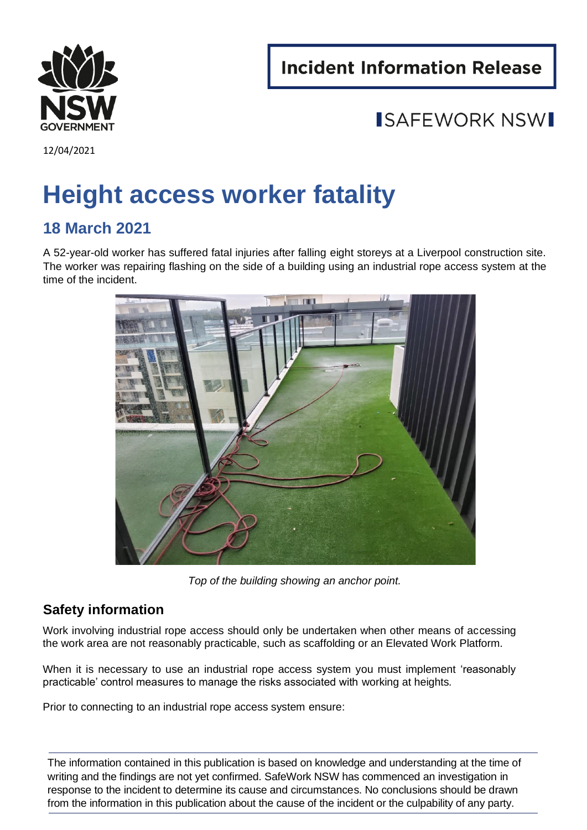**Incident Information Release** 



12/04/2021

# **Height access worker fatality**

### **18 March 2021**

A 52-year-old worker has suffered fatal injuries after falling eight storeys at a Liverpool construction site. The worker was repairing flashing on the side of a building using an industrial rope access system at the time of the incident.



*Top of the building showing an anchor point.* 

#### **Safety information**

Work involving industrial rope access should only be undertaken when other means of accessing the work area are not reasonably practicable, such as scaffolding or an Elevated Work Platform.

When it is necessary to use an industrial rope access system you must implement 'reasonably practicable' control measures to manage the risks associated with working at heights*.* 

Prior to connecting to an industrial rope access system ensure:

The information contained in this publication is based on knowledge and understanding at the time of writing and the findings are not yet confirmed. SafeWork NSW has commenced an investigation in response to the incident to determine its cause and circumstances. No conclusions should be drawn from the information in this publication about the cause of the incident or the culpability of any party.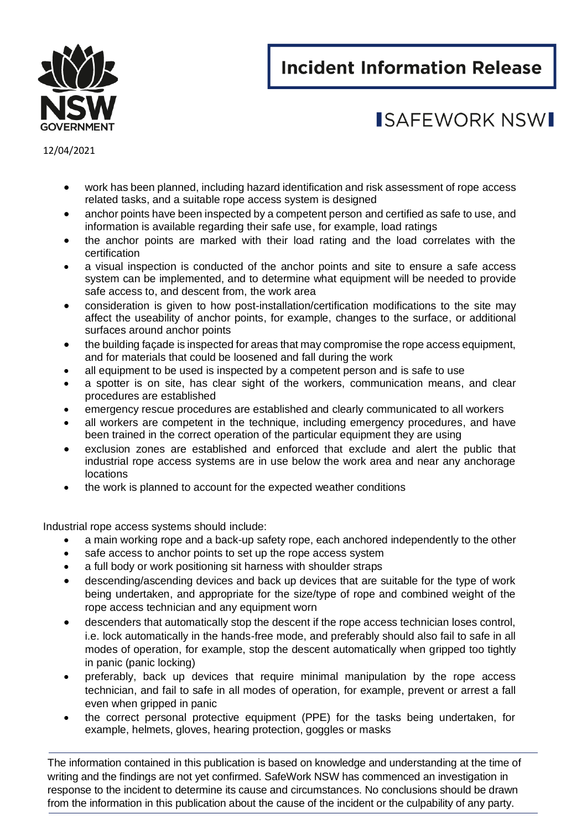## **Incident Information Release**



## ISAFFWORK NSWI

12/04/2021

- work has been planned, including hazard identification and risk assessment of rope access related tasks, and a suitable rope access system is designed
- anchor points have been inspected by a competent person and certified as safe to use, and information is available regarding their safe use, for example, load ratings
- the anchor points are marked with their load rating and the load correlates with the certification
- a visual inspection is conducted of the anchor points and site to ensure a safe access system can be implemented, and to determine what equipment will be needed to provide safe access to, and descent from, the work area
- consideration is given to how post-installation/certification modifications to the site may affect the useability of anchor points, for example, changes to the surface, or additional surfaces around anchor points
- the building façade is inspected for areas that may compromise the rope access equipment, and for materials that could be loosened and fall during the work
- all equipment to be used is inspected by a competent person and is safe to use
- a spotter is on site, has clear sight of the workers, communication means, and clear procedures are established
- emergency rescue procedures are established and clearly communicated to all workers
- all workers are competent in the technique, including emergency procedures, and have been trained in the correct operation of the particular equipment they are using
- exclusion zones are established and enforced that exclude and alert the public that industrial rope access systems are in use below the work area and near any anchorage locations
- the work is planned to account for the expected weather conditions

Industrial rope access systems should include:

- a main working rope and a back-up safety rope, each anchored independently to the other
- safe access to anchor points to set up the rope access system
- a full body or work positioning sit harness with shoulder straps
- descending/ascending devices and back up devices that are suitable for the type of work being undertaken, and appropriate for the size/type of rope and combined weight of the rope access technician and any equipment worn
- descenders that automatically stop the descent if the rope access technician loses control, i.e. lock automatically in the hands-free mode, and preferably should also fail to safe in all modes of operation, for example, stop the descent automatically when gripped too tightly in panic (panic locking)
- preferably, back up devices that require minimal manipulation by the rope access technician, and fail to safe in all modes of operation, for example, prevent or arrest a fall even when gripped in panic
- the correct personal protective equipment (PPE) for the tasks being undertaken, for example, helmets, gloves, hearing protection, goggles or masks

The information contained in this publication is based on knowledge and understanding at the time of writing and the findings are not yet confirmed. SafeWork NSW has commenced an investigation in response to the incident to determine its cause and circumstances. No conclusions should be drawn from the information in this publication about the cause of the incident or the culpability of any party.